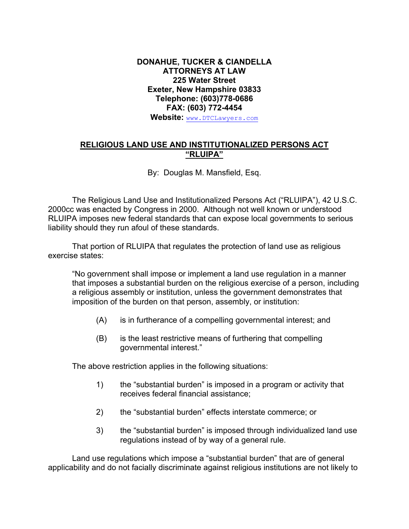## **DONAHUE, TUCKER & CIANDELLA ATTORNEYS AT LAW 225 Water Street Exeter, New Hampshire 03833 Telephone: (603)778-0686 FAX: (603) 772-4454 Website:** [www.DTCLawyers.com](http://www.dtclawyers.com/)

## **RELIGIOUS LAND USE AND INSTITUTIONALIZED PERSONS ACT "RLUIPA"**

By: Douglas M. Mansfield, Esq.

The Religious Land Use and Institutionalized Persons Act ("RLUIPA"), 42 U.S.C. 2000cc was enacted by Congress in 2000. Although not well known or understood RLUIPA imposes new federal standards that can expose local governments to serious liability should they run afoul of these standards.

That portion of RLUIPA that regulates the protection of land use as religious exercise states:

"No government shall impose or implement a land use regulation in a manner that imposes a substantial burden on the religious exercise of a person, including a religious assembly or institution, unless the government demonstrates that imposition of the burden on that person, assembly, or institution:

- (A) is in furtherance of a compelling governmental interest; and
- (B) is the least restrictive means of furthering that compelling governmental interest."

The above restriction applies in the following situations:

- 1) the "substantial burden" is imposed in a program or activity that receives federal financial assistance;
- 2) the "substantial burden" effects interstate commerce; or
- 3) the "substantial burden" is imposed through individualized land use regulations instead of by way of a general rule.

Land use regulations which impose a "substantial burden" that are of general applicability and do not facially discriminate against religious institutions are not likely to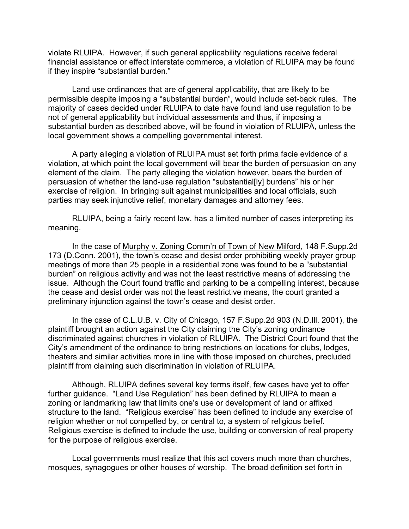violate RLUIPA. However, if such general applicability regulations receive federal financial assistance or effect interstate commerce, a violation of RLUIPA may be found if they inspire "substantial burden."

Land use ordinances that are of general applicability, that are likely to be permissible despite imposing a "substantial burden", would include set-back rules. The majority of cases decided under RLUIPA to date have found land use regulation to be not of general applicability but individual assessments and thus, if imposing a substantial burden as described above, will be found in violation of RLUIPA, unless the local government shows a compelling governmental interest.

A party alleging a violation of RLUIPA must set forth prima facie evidence of a violation, at which point the local government will bear the burden of persuasion on any element of the claim. The party alleging the violation however, bears the burden of persuasion of whether the land-use regulation "substantial[ly] burdens" his or her exercise of religion. In bringing suit against municipalities and local officials, such parties may seek injunctive relief, monetary damages and attorney fees.

RLUIPA, being a fairly recent law, has a limited number of cases interpreting its meaning.

In the case of Murphy v. Zoning Comm'n of Town of New Milford, 148 F.Supp.2d 173 (D.Conn. 2001), the town's cease and desist order prohibiting weekly prayer group meetings of more than 25 people in a residential zone was found to be a "substantial burden" on religious activity and was not the least restrictive means of addressing the issue. Although the Court found traffic and parking to be a compelling interest, because the cease and desist order was not the least restrictive means, the court granted a preliminary injunction against the town's cease and desist order.

In the case of C.L.U.B. v. City of Chicago, 157 F.Supp.2d 903 (N.D.Ill. 2001), the plaintiff brought an action against the City claiming the City's zoning ordinance discriminated against churches in violation of RLUIPA. The District Court found that the City's amendment of the ordinance to bring restrictions on locations for clubs, lodges, theaters and similar activities more in line with those imposed on churches, precluded plaintiff from claiming such discrimination in violation of RLUIPA.

Although, RLUIPA defines several key terms itself, few cases have yet to offer further guidance. "Land Use Regulation" has been defined by RLUIPA to mean a zoning or landmarking law that limits one's use or development of land or affixed structure to the land. "Religious exercise" has been defined to include any exercise of religion whether or not compelled by, or central to, a system of religious belief. Religious exercise is defined to include the use, building or conversion of real property for the purpose of religious exercise.

Local governments must realize that this act covers much more than churches, mosques, synagogues or other houses of worship. The broad definition set forth in